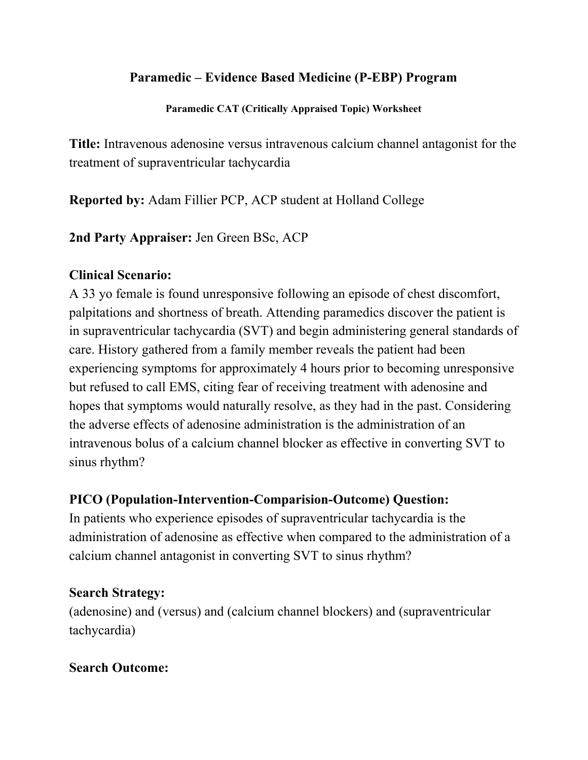### **Paramedic – Evidence Based Medicine (P-EBP) Program**

**Paramedic CAT (Critically Appraised Topic) Worksheet**

**Title:** Intravenous adenosine versus intravenous calcium channel antagonist for the treatment of supraventricular tachycardia

**Reported by:** Adam Fillier PCP, ACP student at Holland College

**2nd Party Appraiser:** Jen Green BSc, ACP

### **Clinical Scenario:**

A 33 yo female is found unresponsive following an episode of chest discomfort, palpitations and shortness of breath. Attending paramedics discover the patient is in supraventricular tachycardia (SVT) and begin administering general standards of care. History gathered from a family member reveals the patient had been experiencing symptoms for approximately 4 hours prior to becoming unresponsive but refused to call EMS, citing fear of receiving treatment with adenosine and hopes that symptoms would naturally resolve, as they had in the past. Considering the adverse effects of adenosine administration is the administration of an intravenous bolus of a calcium channel blocker as effective in converting SVT to sinus rhythm?

### **PICO (Population-Intervention-Comparision-Outcome) Question:**

In patients who experience episodes of supraventricular tachycardia is the administration of adenosine as effective when compared to the administration of a calcium channel antagonist in converting SVT to sinus rhythm?

### **Search Strategy:**

(adenosine) and (versus) and (calcium channel blockers) and (supraventricular tachycardia)

#### **Search Outcome:**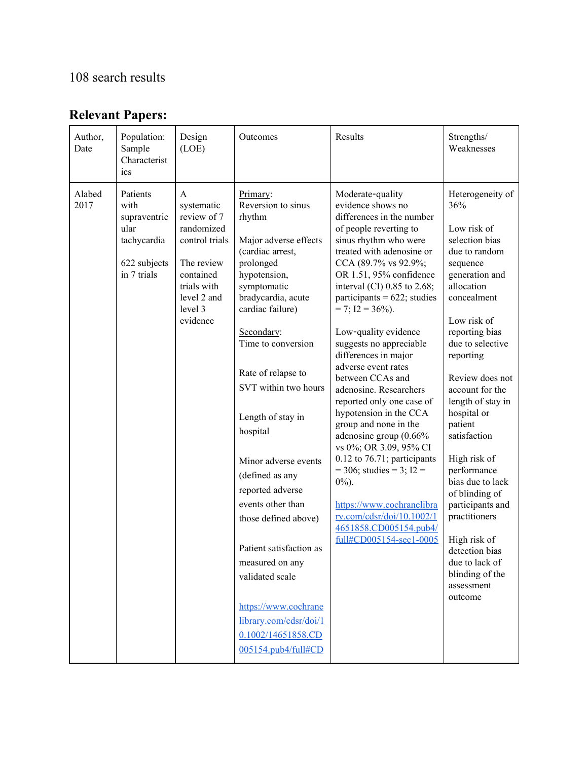## 108 search results

# **Relevant Papers:**

| Author,<br>Date | Population:<br>Sample<br>Characterist<br>ics                                           | Design<br>(LOE)                                                                                                                                | Outcomes                                                                                                                                                                                                                                                                                                                                                                                                                                                                                                                                                                   | Results                                                                                                                                                                                                                                                                                                                                                                                                                                                                                                                                                                                                                                                                                                                                                                        | Strengths/<br>Weaknesses                                                                                                                                                                                                                                                                                                                                                                                                                                                                                              |
|-----------------|----------------------------------------------------------------------------------------|------------------------------------------------------------------------------------------------------------------------------------------------|----------------------------------------------------------------------------------------------------------------------------------------------------------------------------------------------------------------------------------------------------------------------------------------------------------------------------------------------------------------------------------------------------------------------------------------------------------------------------------------------------------------------------------------------------------------------------|--------------------------------------------------------------------------------------------------------------------------------------------------------------------------------------------------------------------------------------------------------------------------------------------------------------------------------------------------------------------------------------------------------------------------------------------------------------------------------------------------------------------------------------------------------------------------------------------------------------------------------------------------------------------------------------------------------------------------------------------------------------------------------|-----------------------------------------------------------------------------------------------------------------------------------------------------------------------------------------------------------------------------------------------------------------------------------------------------------------------------------------------------------------------------------------------------------------------------------------------------------------------------------------------------------------------|
| Alabed<br>2017  | Patients<br>with<br>supraventric<br>ular<br>tachycardia<br>622 subjects<br>in 7 trials | A<br>systematic<br>review of 7<br>randomized<br>control trials<br>The review<br>contained<br>trials with<br>level 2 and<br>level 3<br>evidence | Primary:<br>Reversion to sinus<br>rhythm<br>Major adverse effects<br>(cardiac arrest,<br>prolonged<br>hypotension,<br>symptomatic<br>bradycardia, acute<br>cardiac failure)<br>Secondary:<br>Time to conversion<br>Rate of relapse to<br>SVT within two hours<br>Length of stay in<br>hospital<br>Minor adverse events<br>(defined as any<br>reported adverse<br>events other than<br>those defined above)<br>Patient satisfaction as<br>measured on any<br>validated scale<br>https://www.cochrane<br>library.com/cdsr/doi/1<br>0.1002/14651858.CD<br>005154.pub4/full#CD | Moderate-quality<br>evidence shows no<br>differences in the number<br>of people reverting to<br>sinus rhythm who were<br>treated with adenosine or<br>CCA (89.7% vs 92.9%;<br>OR 1.51, 95% confidence<br>interval (CI) 0.85 to 2.68;<br>participants = $622$ ; studies<br>$= 7$ ; $I2 = 36\%$ ).<br>Low-quality evidence<br>suggests no appreciable<br>differences in major<br>adverse event rates<br>between CCAs and<br>adenosine. Researchers<br>reported only one case of<br>hypotension in the CCA<br>group and none in the<br>adenosine group (0.66%<br>vs 0%; OR 3.09, 95% CI<br>$0.12$ to 76.71; participants<br>$=$ 306; studies = 3; I2 =<br>$0\%$ ).<br>https://www.cochranelibra<br>ry.com/cdsr/doi/10.1002/1<br>4651858.CD005154.pub4/<br>full#CD005154-sec1-0005 | Heterogeneity of<br>36%<br>Low risk of<br>selection bias<br>due to random<br>sequence<br>generation and<br>allocation<br>concealment<br>Low risk of<br>reporting bias<br>due to selective<br>reporting<br>Review does not<br>account for the<br>length of stay in<br>hospital or<br>patient<br>satisfaction<br>High risk of<br>performance<br>bias due to lack<br>of blinding of<br>participants and<br>practitioners<br>High risk of<br>detection bias<br>due to lack of<br>blinding of the<br>assessment<br>outcome |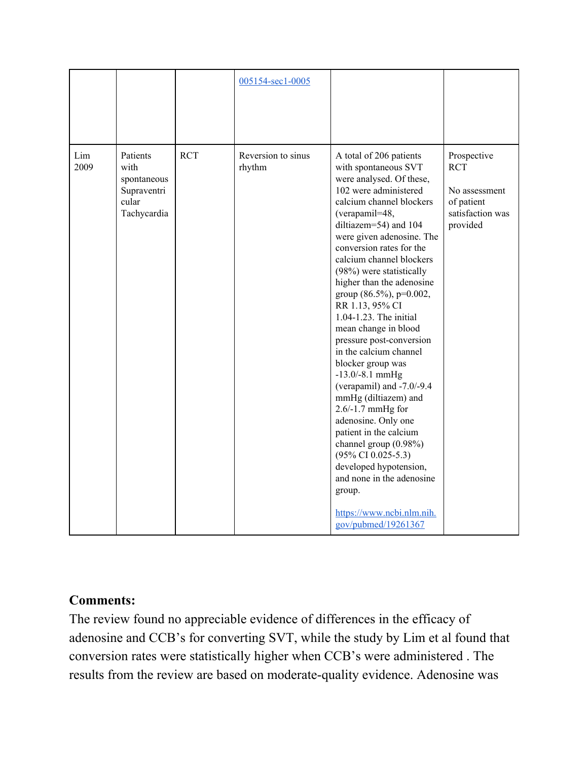|             |                                                                        |            | 005154-sec1-0005             |                                                                                                                                                                                                                                                                                                                                                                                                                                                                                                                                                                                                                                                                                                                                                                                                                                              |                                                                                          |
|-------------|------------------------------------------------------------------------|------------|------------------------------|----------------------------------------------------------------------------------------------------------------------------------------------------------------------------------------------------------------------------------------------------------------------------------------------------------------------------------------------------------------------------------------------------------------------------------------------------------------------------------------------------------------------------------------------------------------------------------------------------------------------------------------------------------------------------------------------------------------------------------------------------------------------------------------------------------------------------------------------|------------------------------------------------------------------------------------------|
| Lim<br>2009 | Patients<br>with<br>spontaneous<br>Supraventri<br>cular<br>Tachycardia | <b>RCT</b> | Reversion to sinus<br>rhythm | A total of 206 patients<br>with spontaneous SVT<br>were analysed. Of these,<br>102 were administered<br>calcium channel blockers<br>(verapamil=48,<br>diltiazem=54) and 104<br>were given adenosine. The<br>conversion rates for the<br>calcium channel blockers<br>(98%) were statistically<br>higher than the adenosine<br>group $(86.5\%)$ , p=0.002,<br>RR 1.13, 95% CI<br>1.04-1.23. The initial<br>mean change in blood<br>pressure post-conversion<br>in the calcium channel<br>blocker group was<br>$-13.0/-8.1$ mmHg<br>(verapamil) and $-7.0/-9.4$<br>mmHg (diltiazem) and<br>2.6/-1.7 mmHg for<br>adenosine. Only one<br>patient in the calcium<br>channel group (0.98%)<br>$(95\% \text{ CI } 0.025 - 5.3)$<br>developed hypotension,<br>and none in the adenosine<br>group.<br>https://www.ncbi.nlm.nih.<br>gov/pubmed/19261367 | Prospective<br><b>RCT</b><br>No assessment<br>of patient<br>satisfaction was<br>provided |

### **Comments:**

The review found no appreciable evidence of differences in the efficacy of adenosine and CCB's for converting SVT, while the study by Lim et al found that conversion rates were statistically higher when CCB's were administered . The results from the review are based on moderate-quality evidence. Adenosine was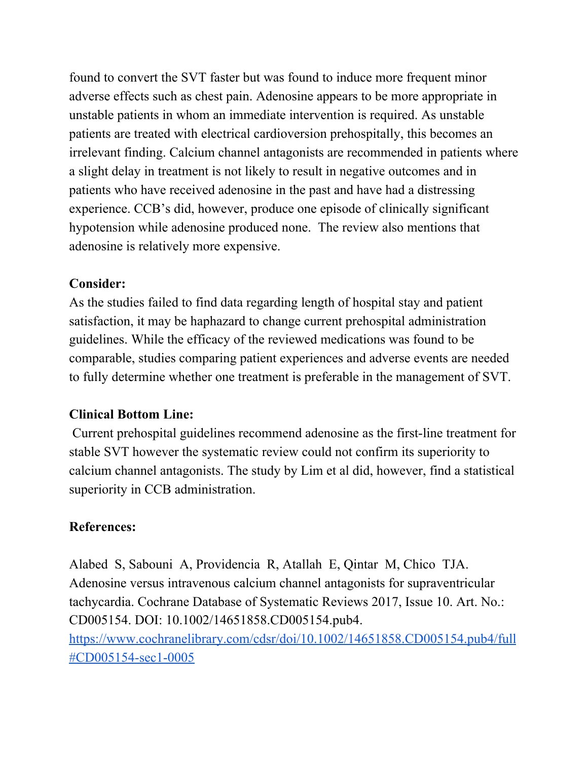found to convert the SVT faster but was found to induce more frequent minor adverse effects such as chest pain. Adenosine appears to be more appropriate in unstable patients in whom an immediate intervention is required. As unstable patients are treated with electrical cardioversion prehospitally, this becomes an irrelevant finding. Calcium channel antagonists are recommended in patients where a slight delay in treatment is not likely to result in negative outcomes and in patients who have received adenosine in the past and have had a distressing experience. CCB's did, however, produce one episode of clinically significant hypotension while adenosine produced none. The review also mentions that adenosine is relatively more expensive.

### **Consider:**

As the studies failed to find data regarding length of hospital stay and patient satisfaction, it may be haphazard to change current prehospital administration guidelines. While the efficacy of the reviewed medications was found to be comparable, studies comparing patient experiences and adverse events are needed to fully determine whether one treatment is preferable in the management of SVT.

### **Clinical Bottom Line:**

Current prehospital guidelines recommend adenosine as the first-line treatment for stable SVT however the systematic review could not confirm its superiority to calcium channel antagonists. The study by Lim et al did, however, find a statistical superiority in CCB administration.

## **References:**

Alabed S, Sabouni A, Providencia R, Atallah E, Qintar M, Chico TJA. Adenosine versus intravenous calcium channel antagonists for supraventricular tachycardia. Cochrane Database of Systematic Reviews 2017, Issue 10. Art. No.: CD005154. DOI: 10.1002/14651858.CD005154.pub4. [https://www.cochranelibrary.com/cdsr/doi/10.1002/14651858.CD005154.pub4/full](https://www.cochranelibrary.com/cdsr/doi/10.1002/14651858.CD005154.pub4/full#CD005154-sec1-0005) [#CD005154-sec1-0005](https://www.cochranelibrary.com/cdsr/doi/10.1002/14651858.CD005154.pub4/full#CD005154-sec1-0005)